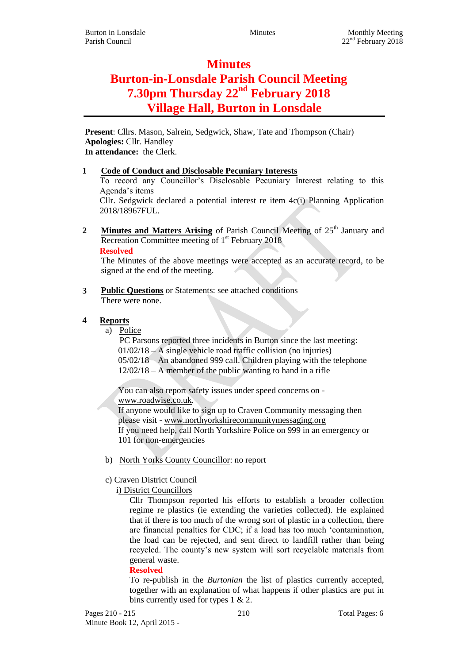## **Minutes**

# **Burton-in-Lonsdale Parish Council Meeting 7.30pm Thursday 22nd February 2018 Village Hall, Burton in Lonsdale**

**Present**: Cllrs. Mason, Salrein, Sedgwick, Shaw, Tate and Thompson (Chair) **Apologies:** Cllr. Handley **In attendance:** the Clerk.

#### **1 Code of Conduct and Disclosable Pecuniary Interests**

To record any Councillor's Disclosable Pecuniary Interest relating to this Agenda's items

Cllr. Sedgwick declared a potential interest re item 4c(i) Planning Application 2018/18967FUL.

**2 Minutes and Matters Arising** of Parish Council Meeting of 25<sup>th</sup> January and Recreation Committee meeting of  $1<sup>st</sup>$  February 2018 **Resolved**

The Minutes of the above meetings were accepted as an accurate record, to be signed at the end of the meeting.

**3 Public Questions** or Statements: see attached conditions There were none.

#### **4 Reports**

a) Police

PC Parsons reported three incidents in Burton since the last meeting: 01/02/18 – A single vehicle road traffic collision (no injuries) 05/02/18 – An abandoned 999 call. Children playing with the telephone 12/02/18 – A member of the public wanting to hand in a rifle

You can also report safety issues under speed concerns on [www.roadwise.co.uk.](http://www.roadwise.co.uk/)

If anyone would like to sign up to Craven Community messaging then please visit - [www.northyorkshirecommunitymessaging.org](http://www.northyorkshirecommunitymessaging.org/) If you need help, call North Yorkshire Police on 999 in an emergency or 101 for non-emergencies

b) North Yorks County Councillor: no report

#### c) Craven District Council

i) District Councillors

Cllr Thompson reported his efforts to establish a broader collection regime re plastics (ie extending the varieties collected). He explained that if there is too much of the wrong sort of plastic in a collection, there are financial penalties for CDC; if a load has too much 'contamination, the load can be rejected, and sent direct to landfill rather than being recycled. The county's new system will sort recyclable materials from general waste.

#### **Resolved**

To re-publish in the *Burtonian* the list of plastics currently accepted, together with an explanation of what happens if other plastics are put in bins currently used for types 1 & 2.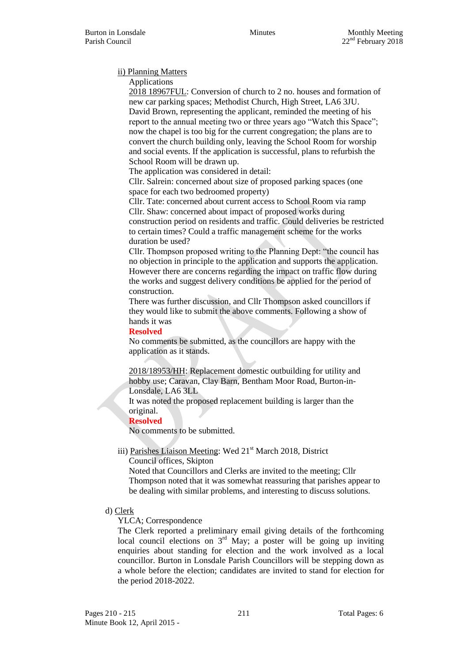Parish Council 22<sup>nd</sup> February 2018

#### ii) Planning Matters

Applications

2018 18967FUL: Conversion of church to 2 no. houses and formation of new car parking spaces; Methodist Church, High Street, LA6 3JU. David Brown, representing the applicant, reminded the meeting of his report to the annual meeting two or three years ago "Watch this Space"; now the chapel is too big for the current congregation; the plans are to convert the church building only, leaving the School Room for worship and social events. If the application is successful, plans to refurbish the School Room will be drawn up.

The application was considered in detail:

Cllr. Salrein: concerned about size of proposed parking spaces (one space for each two bedroomed property)

Cllr. Tate: concerned about current access to School Room via ramp Cllr. Shaw: concerned about impact of proposed works during construction period on residents and traffic. Could deliveries be restricted to certain times? Could a traffic management scheme for the works duration be used?

Cllr. Thompson proposed writing to the Planning Dept: "the council has no objection in principle to the application and supports the application. However there are concerns regarding the impact on traffic flow during the works and suggest delivery conditions be applied for the period of construction.

There was further discussion, and Cllr Thompson asked councillors if they would like to submit the above comments. Following a show of hands it was

**Resolved**

No comments be submitted, as the councillors are happy with the application as it stands.

2018/18953/HH: Replacement domestic outbuilding for utility and hobby use; Caravan, Clay Barn, Bentham Moor Road, Burton-in-Lonsdale, LA6 3LL

It was noted the proposed replacement building is larger than the original.

**Resolved**

No comments to be submitted.

iii) Parishes Liaison Meeting: Wed 21<sup>st</sup> March 2018, District

Council offices, Skipton

Noted that Councillors and Clerks are invited to the meeting; Cllr Thompson noted that it was somewhat reassuring that parishes appear to be dealing with similar problems, and interesting to discuss solutions.

d) Clerk

YLCA; Correspondence

The Clerk reported a preliminary email giving details of the forthcoming local council elections on  $3<sup>rd</sup>$  May; a poster will be going up inviting enquiries about standing for election and the work involved as a local councillor. Burton in Lonsdale Parish Councillors will be stepping down as a whole before the election; candidates are invited to stand for election for the period 2018-2022.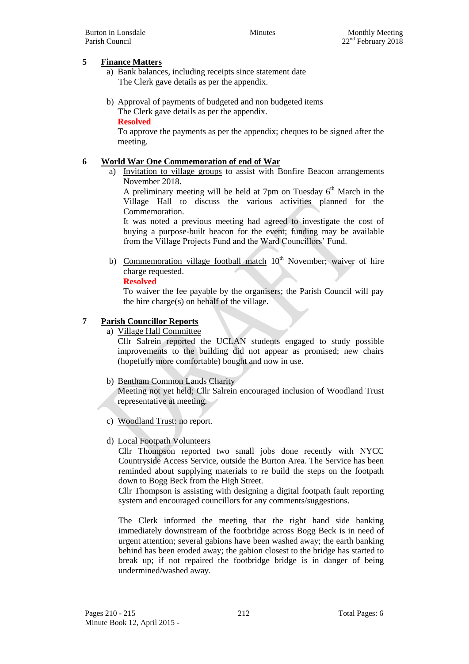#### **5 Finance Matters**

- a) Bank balances, including receipts since statement date The Clerk gave details as per the appendix.
- b) Approval of payments of budgeted and non budgeted items The Clerk gave details as per the appendix. **Resolved**

To approve the payments as per the appendix; cheques to be signed after the meeting.

#### **6 World War One Commemoration of end of War**

a) Invitation to village groups to assist with Bonfire Beacon arrangements November 2018.

A preliminary meeting will be held at 7pm on Tuesday  $6<sup>th</sup>$  March in the Village Hall to discuss the various activities planned for the Commemoration.

It was noted a previous meeting had agreed to investigate the cost of buying a purpose-built beacon for the event; funding may be available from the Village Projects Fund and the Ward Councillors' Fund.

b) Commemoration village football match  $10<sup>th</sup>$  November; waiver of hire charge requested.

#### **Resolved**

To waiver the fee payable by the organisers; the Parish Council will pay the hire charge(s) on behalf of the village.

#### **7 Parish Councillor Reports**

a) Village Hall Committee

Cllr Salrein reported the UCLAN students engaged to study possible improvements to the building did not appear as promised; new chairs (hopefully more comfortable) bought and now in use.

#### b) Bentham Common Lands Charity

Meeting not yet held; Cllr Salrein encouraged inclusion of Woodland Trust representative at meeting.

- c) Woodland Trust: no report.
- d) Local Footpath Volunteers

Cllr Thompson reported two small jobs done recently with NYCC Countryside Access Service, outside the Burton Area. The Service has been reminded about supplying materials to re build the steps on the footpath down to Bogg Beck from the High Street.

Cllr Thompson is assisting with designing a digital footpath fault reporting system and encouraged councillors for any comments/suggestions.

The Clerk informed the meeting that the right hand side banking immediately downstream of the footbridge across Bogg Beck is in need of urgent attention; several gabions have been washed away; the earth banking behind has been eroded away; the gabion closest to the bridge has started to break up; if not repaired the footbridge bridge is in danger of being undermined/washed away.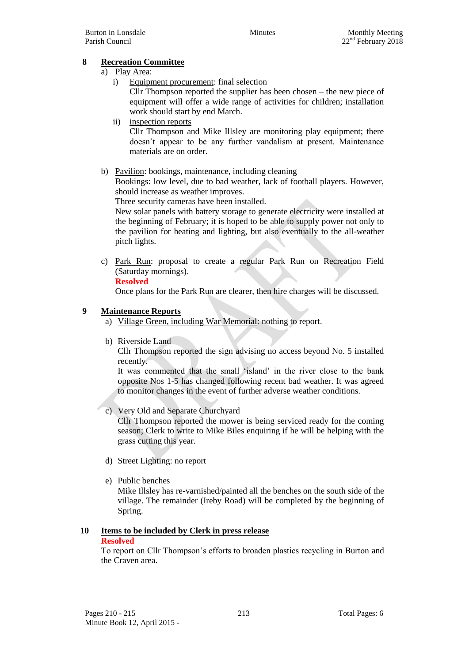#### **8 Recreation Committee**

#### a) Play Area:

- i) Equipment procurement: final selection Cllr Thompson reported the supplier has been chosen – the new piece of equipment will offer a wide range of activities for children; installation work should start by end March.
- ii) inspection reports Cllr Thompson and Mike Illsley are monitoring play equipment; there doesn't appear to be any further vandalism at present. Maintenance materials are on order.
- b) Pavilion: bookings, maintenance, including cleaning

Bookings: low level, due to bad weather, lack of football players. However, should increase as weather improves.

Three security cameras have been installed.

New solar panels with battery storage to generate electricity were installed at the beginning of February; it is hoped to be able to supply power not only to the pavilion for heating and lighting, but also eventually to the all-weather pitch lights.

c) Park Run: proposal to create a regular Park Run on Recreation Field (Saturday mornings).

#### **Resolved**

Once plans for the Park Run are clearer, then hire charges will be discussed.

#### **9 Maintenance Reports**

- a) Village Green, including War Memorial: nothing to report.
- b) Riverside Land

Cllr Thompson reported the sign advising no access beyond No. 5 installed recently.

It was commented that the small 'island' in the river close to the bank opposite Nos 1-5 has changed following recent bad weather. It was agreed to monitor changes in the event of further adverse weather conditions.

#### c) Very Old and Separate Churchyard

Cllr Thompson reported the mower is being serviced ready for the coming season; Clerk to write to Mike Biles enquiring if he will be helping with the grass cutting this year.

- d) Street Lighting: no report
- e) Public benches

Mike Illsley has re-varnished/painted all the benches on the south side of the village. The remainder (Ireby Road) will be completed by the beginning of Spring.

### **10 Items to be included by Clerk in press release**

#### **Resolved**

To report on Cllr Thompson's efforts to broaden plastics recycling in Burton and the Craven area.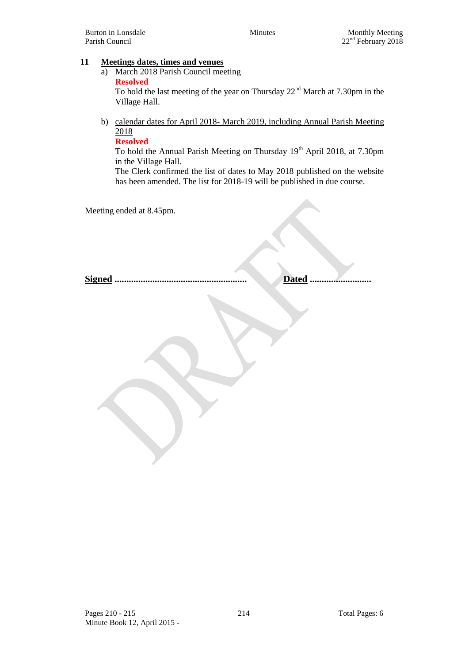#### **11 Meetings dates, times and venues**

a) March 2018 Parish Council meeting **Resolved**

To hold the last meeting of the year on Thursday  $22<sup>nd</sup>$  March at 7.30pm in the Village Hall.

b) calendar dates for April 2018- March 2019, including Annual Parish Meeting 2018

**Resolved**

To hold the Annual Parish Meeting on Thursday 19<sup>th</sup> April 2018, at 7.30pm in the Village Hall.

The Clerk confirmed the list of dates to May 2018 published on the website has been amended. The list for 2018-19 will be published in due course.

Meeting ended at 8.45pm.

**Signed ........................................................ Dated ..........................**